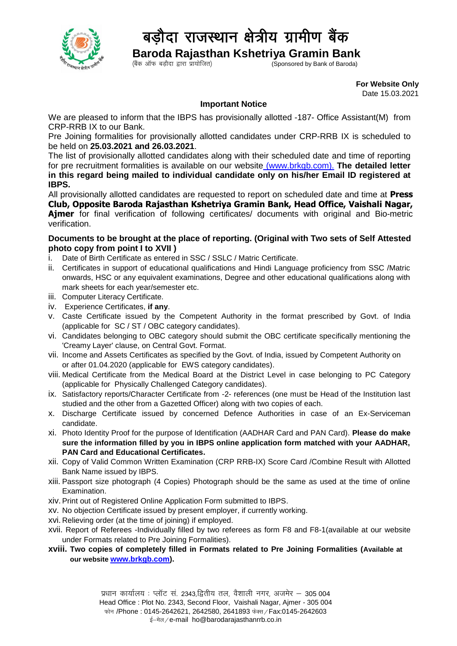

## बड़ौदा राजस्थान क्षेत्रीय ग्रामीण बैंक

 **Baroda Rajasthan Kshetriya Gramin Bank**

 $\zeta$ Coonsored by Bank of Baroda)

 **For Website Only**  Date 15.03.2021

## **Important Notice**

We are pleased to inform that the IBPS has provisionally allotted -187- Office Assistant(M) from CRP-RRB IX to our Bank.

Pre Joining formalities for provisionally allotted candidates under CRP-RRB IX is scheduled to be held on **25.03.2021 and 26.03.2021**.

The list of provisionally allotted candidates along with their scheduled date and time of reporting for pre recruitment formalities is available on our website [\(www.brkgb.com\)](http://www.brkgb.com/). **The detailed letter in this regard being mailed to individual candidate only on his/her Email ID registered at IBPS.**

All provisionally allotted candidates are requested to report on scheduled date and time at **Press Club, Opposite Baroda Rajasthan Kshetriya Gramin Bank, Head Office, Vaishali Nagar, Ajmer** for final verification of following certificates/ documents with original and Bio-metric verification.

## **Documents to be brought at the place of reporting. (Original with Two sets of Self Attested photo copy from point I to XVII )**

- i. Date of Birth Certificate as entered in SSC / SSLC / Matric Certificate.
- ii. Certificates in support of educational qualifications and Hindi Language proficiency from SSC /Matric onwards, HSC or any equivalent examinations, Degree and other educational qualifications along with mark sheets for each year/semester etc.
- iii. Computer Literacy Certificate.
- iv. Experience Certificates, **if any**.
- v. Caste Certificate issued by the Competent Authority in the format prescribed by Govt. of India (applicable for SC / ST / OBC category candidates).
- vi. Candidates belonging to OBC category should submit the OBC certificate specifically mentioning the 'Creamy Layer' clause, on Central Govt. Format.
- vii. Income and Assets Certificates as specified by the Govt. of India, issued by Competent Authority on or after 01.04.2020 (applicable for EWS category candidates).
- viii. Medical Certificate from the Medical Board at the District Level in case belonging to PC Category (applicable for Physically Challenged Category candidates).
- ix. Satisfactory reports/Character Certificate from -2- references (one must be Head of the Institution last studied and the other from a Gazetted Officer) along with two copies of each.
- x. Discharge Certificate issued by concerned Defence Authorities in case of an Ex-Serviceman candidate.
- xi. Photo Identity Proof for the purpose of Identification (AADHAR Card and PAN Card). **Please do make sure the information filled by you in IBPS online application form matched with your AADHAR, PAN Card and Educational Certificates.**
- xii. Copy of Valid Common Written Examination (CRP RRB-IX) Score Card /Combine Result with Allotted Bank Name issued by IBPS.
- xiii. Passport size photograph (4 Copies) Photograph should be the same as used at the time of online Examination.
- xiv.Print out of Registered Online Application Form submitted to IBPS.
- xv. No objection Certificate issued by present employer, if currently working.
- xvi. Relieving order (at the time of joining) if employed.
- xvii. Report of Referees -Individually filled by two referees as form F8 and F8-1(available at our website under Formats related to Pre Joining Formalities).
- **xviii. Two copies of completely filled in Formats related to Pre Joining Formalities (Available at our website [www.brkgb.com\)](www.brkgb.com).**